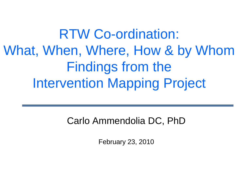RTW Co-ordination: What, When, Where, How & by Whom Findings from the Intervention Mapping Project

Carlo Ammendolia DC, PhD

February 23, 2010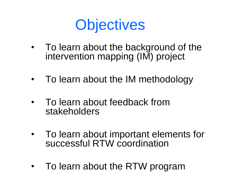

- To learn about the background of the intervention mapping (IM) project
- To learn about the IM methodology
- To learn about feedback from stakeholders
- To learn about important elements for successful RTW coordination
- To learn about the RTW program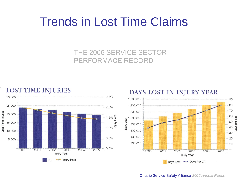### Trends in Lost Time Claims

#### THE 2005 SERVICE SECTOR PERFORMACE RECORD



#### DAYS LOST IN INJURY YEAR



Ontario Service Safety Alliance *2005 Annual Report*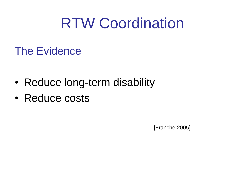## RTW Coordination

### The Evidence

- Reduce long-term disability
- Reduce costs

[Franche 2005]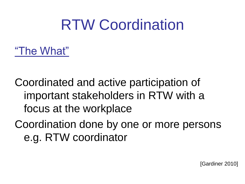## RTW Coordination

"The What"

Coordinated and active participation of important stakeholders in RTW with a focus at the workplace

Coordination done by one or more persons e.g. RTW coordinator

[Gardiner 2010]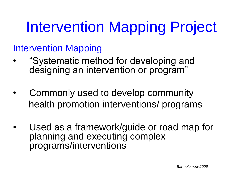# Intervention Mapping Project

Intervention Mapping

- "Systematic method for developing and designing an intervention or program"
- Commonly used to develop community health promotion interventions/ programs
- Used as a framework/guide or road map for planning and executing complex programs/interventions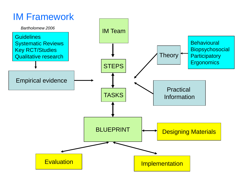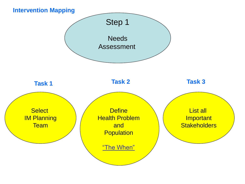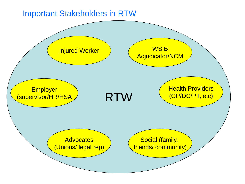#### Important Stakeholders in RTW

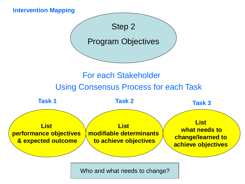

Who and what needs to change?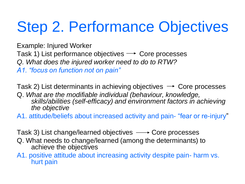# Step 2. Performance Objectives

Example: Injured Worker Task 1) List performance objectives  $\rightarrow$  Core processes *Q. What does the injured worker need to do to RTW? A1. "focus on function not on pain"*

Task 2) List determinants in achieving objectives  $\rightarrow$  Core processes Q. *What are the modifiable individual (behaviour, knowledge, skills/abilities (self-efficacy) and environment factors in achieving the objective*

A1. attitude/beliefs about increased activity and pain- "fear or re-injury"

Task 3) List change/learned objectives  $\longrightarrow$  Core processes

- Q. What needs to change/learned (among the determinants) to achieve the objectives
- A1. positive attitude about increasing activity despite pain- harm vs. hurt pain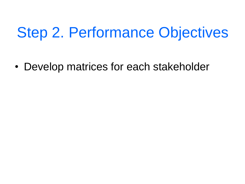## Step 2. Performance Objectives

• Develop matrices for each stakeholder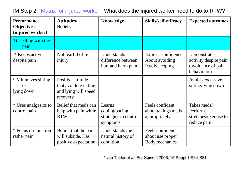**Performance Objectives (injured worker) Attitudes/ Beliefs Knowledge Skills/self-efficacy Expected outcomes** 1) Dealing with the pain \* Keeps active despite pain Not fearful of re injury **Understands** difference between hurt and harm pain Express confidence About avoiding Passive coping **Demonstrates** activity despite pain (avoidance of pain behaviours) \* Minimizes sitting or lying down Positive attitude that avoiding sitting and lying will speed recovery Avoids excessive sitting/lying down \* Uses analgesics to control pain Belief that meds can help with pain while RTW Learns coping/pacing strategies to control symptoms Feels confident about takings meds appropriately Takes meds/ Performs stretches/exercise to reduce pain \* Focus on function rather pain Belief that the pain will subside. Has positive expectation Understands the natural history of condition Feels confident about use proper Body mechanics

IM Step 2. Matrix for injured worker: What does the injured worker need to do to RTW?

\* van Tulder et al. Eur Spine J 2006; 15 Suppl 1:S64-S81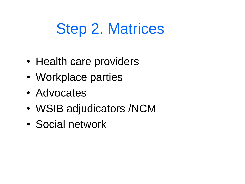### Step 2. Matrices

- Health care providers
- Workplace parties
- Advocates
- WSIB adjudicators /NCM
- Social network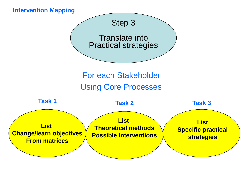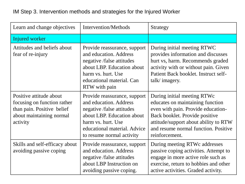#### IM Step 3. Intervention methods and strategies for the Injured Worker

| Learn and change objectives                                                                                                  | <b>Intervention/Methods</b>                                                                                                                                                                          | Strategy                                                                                                                                                                                                                                   |
|------------------------------------------------------------------------------------------------------------------------------|------------------------------------------------------------------------------------------------------------------------------------------------------------------------------------------------------|--------------------------------------------------------------------------------------------------------------------------------------------------------------------------------------------------------------------------------------------|
| Injured worker                                                                                                               |                                                                                                                                                                                                      |                                                                                                                                                                                                                                            |
| Attitudes and beliefs about<br>fear of re-injury                                                                             | Provide reassurance, support<br>and education. Address<br>negative /false attitudes<br>about LBP. Education about<br>harm vs. hurt. Use<br>educational material. Can<br>RTW with pain                | During initial meeting RTWC<br>provides information and discusses<br>hurt vs, harm. Recommends graded<br>activity with or without pain. Given<br>Patient Back booklet. Instruct self-<br>talk/imagery.                                     |
| Positive attitude about<br>focusing on function rather<br>than pain. Positive belief<br>about maintaining normal<br>activity | Provide reassurance, support<br>and education. Address<br>negative /false attitudes<br>about LBP. Education about<br>harm vs. hurt. Use<br>educational material. Advice<br>to resume normal activity | During initial meeting RTWc<br>educates on maintaining function<br>even with pain. Provide education-<br>Back booklet. Provide positive<br>attitude/support about ability to RTW<br>and resume normal function. Positive<br>reinforcement. |
| Skills and self-efficacy about<br>avoiding passive coping                                                                    | Provide reassurance, support<br>and education. Address<br>negative /false attitudes<br>about LBP Instruction on<br>avoiding passive coping.                                                          | During meeting RTWc addresses<br>passive coping activities. Attempt to<br>engage in more active role such as<br>exercise, return to hobbies and other<br>active activities. Graded activity.                                               |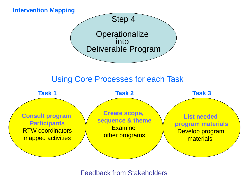

#### Feedback from Stakeholders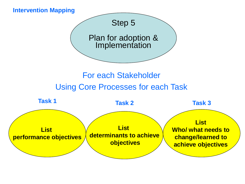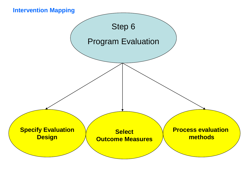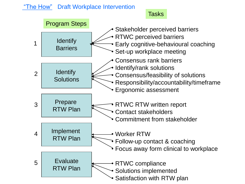#### "The How" Draft Workplace Intervention

#### **Tasks**

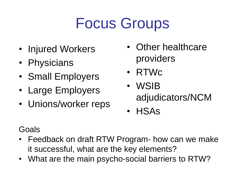## Focus Groups

- Injured Workers
- Physicians
- Small Employers
- Large Employers
- Unions/worker reps
- Other healthcare providers
- RTWc
- WSIB adjudicators/NCM
- HSAs

### Goals

- Feedback on draft RTW Program- how can we make it successful, what are the key elements?
- What are the main psycho-social barriers to RTW?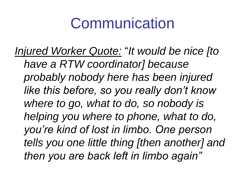### Communication

*Injured Worker Quote:* "*It would be nice [to have a RTW coordinator] because probably nobody here has been injured like this before, so you really don't know where to go, what to do, so nobody is helping you where to phone, what to do, you're kind of lost in limbo. One person tells you one little thing [then another] and then you are back left in limbo again"*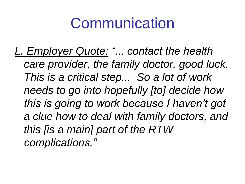## Communication

*L. Employer Quote: "... contact the health care provider, the family doctor, good luck. This is a critical step... So a lot of work needs to go into hopefully [to] decide how this is going to work because I haven't got a clue how to deal with family doctors, and this [is a main] part of the RTW complications."*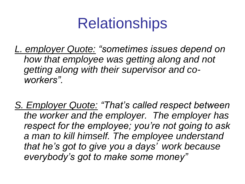## **Relationships**

- *L. employer Quote: "sometimes issues depend on how that employee was getting along and not getting along with their supervisor and coworkers".*
- *S. Employer Quote: "That's called respect between the worker and the employer. The employer has respect for the employee; you're not going to ask a man to kill himself. The employee understand that he's got to give you a days' work because everybody's got to make some money"*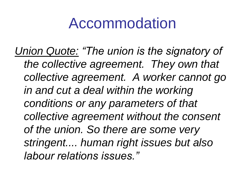### Accommodation

*Union Quote: "The union is the signatory of the collective agreement. They own that collective agreement. A worker cannot go in and cut a deal within the working conditions or any parameters of that collective agreement without the consent of the union. So there are some very stringent.... human right issues but also labour relations issues."*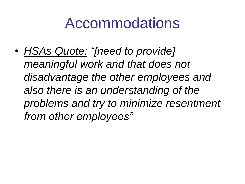### Accommodations

• *HSAs Quote: "[need to provide] meaningful work and that does not disadvantage the other employees and also there is an understanding of the problems and try to minimize resentment from other employees"*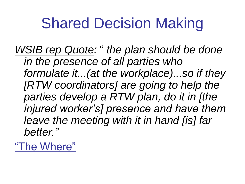## Shared Decision Making

*WSIB rep Quote:* " *the plan should be done in the presence of all parties who formulate it...(at the workplace)...so if they [RTW coordinators] are going to help the parties develop a RTW plan, do it in [the injured worker's] presence and have them leave the meeting with it in hand [is] far better."*

"The Where"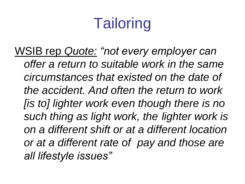# **Tailoring**

WSIB rep *Quote: "not every employer can offer a return to suitable work in the same circumstances that existed on the date of the accident. And often the return to work [is to] lighter work even though there is no such thing as light work, the lighter work is on a different shift or at a different location or at a different rate of pay and those are all lifestyle issues"*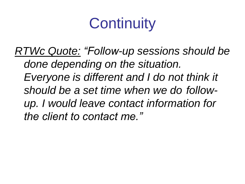## **Continuity**

*RTWc Quote: "Follow-up sessions should be done depending on the situation. Everyone is different and I do not think it should be a set time when we do followup. I would leave contact information for the client to contact me."*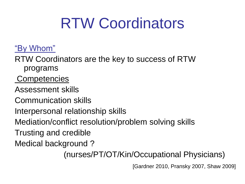## RTW Coordinators

### "By Whom"

RTW Coordinators are the key to success of RTW programs

**Competencies** 

Assessment skills

Communication skills

Interpersonal relationship skills

Mediation/conflict resolution/problem solving skills

Trusting and credible

Medical background ?

(nurses/PT/OT/Kin/Occupational Physicians)

[Gardner 2010, Pransky 2007, Shaw 2009]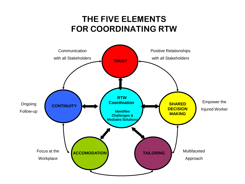### **THE FIVE ELEMENTS FOR COORDINATING RTW**

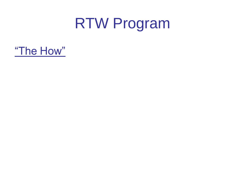### RTW Program

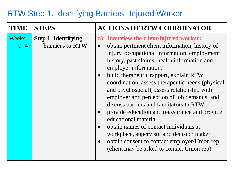#### RTW Step 1. Identifying Barriers- Injured Worker

| <b>TIME</b>             | <b>STEPS</b>                                  | <b>ACTIONS OF RTW COORDINATOR</b>                                                                                                                                                                                                                                                                                                                                                                                                                                                                                                                                                                                                                                                                                                                                                           |
|-------------------------|-----------------------------------------------|---------------------------------------------------------------------------------------------------------------------------------------------------------------------------------------------------------------------------------------------------------------------------------------------------------------------------------------------------------------------------------------------------------------------------------------------------------------------------------------------------------------------------------------------------------------------------------------------------------------------------------------------------------------------------------------------------------------------------------------------------------------------------------------------|
| <b>Weeks</b><br>$0 - 4$ | <b>Step 1. Identifying</b><br>barriers to RTW | a) Interview the client/injured worker:<br>obtain pertinent client information, history of<br>$\bullet$<br>injury, occupational information, employment<br>history, past claims, health information and<br>employer information.<br>build therapeutic rapport, explain RTW<br>$\bullet$<br>coordination, assess therapeutic needs (physical)<br>and psychosocial), assess relationship with<br>employer and perception of job demands, and<br>discuss barriers and facilitators to RTW.<br>provide education and reassurance and provide<br>$\bullet$<br>educational material<br>obtain names of contact individuals at<br>$\bullet$<br>workplace, supervisor and decision maker<br>obtain consent to contact employer/Union rep<br>$\bullet$<br>(client may be asked to contact Union rep) |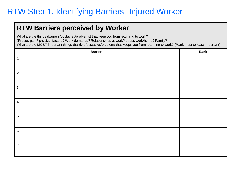### RTW Step 1. Identifying Barriers- Injured Worker

#### **RTW Barriers perceived by Worker**

What are the things (barriers/obstacles/problems) that keep you from returning to work? (Probes-pain? physical factors? Work demands? Relationships at work? stress work/home? Family? What are the MOST important things (barriers/obstacles/problem) that keeps you from returning to work? (Rank most to least important)

| <b>Barriers</b> | Rank |
|-----------------|------|
| 1.              |      |
|                 |      |
| 2.              |      |
|                 |      |
| 3.              |      |
|                 |      |
| 4.              |      |
|                 |      |
| 5.              |      |
|                 |      |
| 6.              |      |
|                 |      |
| 7.              |      |
|                 |      |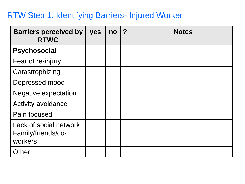#### RTW Step 1. Identifying Barriers- Injured Worker

| <b>Barriers perceived by</b><br><b>RTWC</b>             | yes | no | $\boldsymbol{?}$ | <b>Notes</b> |
|---------------------------------------------------------|-----|----|------------------|--------------|
| <b>Psychosocial</b>                                     |     |    |                  |              |
| Fear of re-injury                                       |     |    |                  |              |
| Catastrophizing                                         |     |    |                  |              |
| Depressed mood                                          |     |    |                  |              |
| <b>Negative expectation</b>                             |     |    |                  |              |
| Activity avoidance                                      |     |    |                  |              |
| Pain focused                                            |     |    |                  |              |
| Lack of social network<br>Family/friends/co-<br>workers |     |    |                  |              |
| Other                                                   |     |    |                  |              |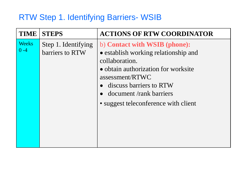### RTW Step 1. Identifying Barriers- WSIB

| <b>TIME</b>             | <b>STEPS</b>                           | <b>ACTIONS OF RTW COORDINATOR</b>                                                                                                                                                                                                                |
|-------------------------|----------------------------------------|--------------------------------------------------------------------------------------------------------------------------------------------------------------------------------------------------------------------------------------------------|
| <b>Weeks</b><br>$0 - 4$ | Step 1. Identifying<br>barriers to RTW | b) Contact with WSIB (phone):<br>• establish working relationship and<br>collaboration.<br>• obtain authorization for worksite<br>assessment/RTWC<br>• discuss barriers to RTW<br>document/rank barriers<br>• suggest teleconference with client |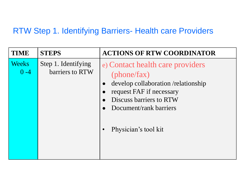#### RTW Step 1. Identifying Barriers- Health care Providers

| <b>TIME</b>                        | <b>STEPS</b>                           | <b>ACTIONS OF RTW COORDINATOR</b>                                                                                                                                       |
|------------------------------------|----------------------------------------|-------------------------------------------------------------------------------------------------------------------------------------------------------------------------|
| <b>Weeks</b><br>$\overline{0} - 4$ | Step 1. Identifying<br>barriers to RTW | e) Contact health care providers<br>(phone/fax)<br>develop collaboration /relationship<br>request FAF if necessary<br>Discuss barriers to RTW<br>Document/rank barriers |
|                                    |                                        | Physician's tool kit                                                                                                                                                    |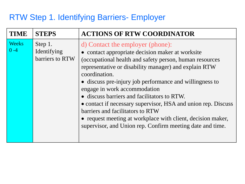#### RTW Step 1. Identifying Barriers- Employer

| <b>TIME</b>             | <b>STEPS</b>                              | <b>ACTIONS OF RTW COORDINATOR</b>                                                                                                                                                                                                                                                                                                                                                                                                                                                                                                                                                                    |
|-------------------------|-------------------------------------------|------------------------------------------------------------------------------------------------------------------------------------------------------------------------------------------------------------------------------------------------------------------------------------------------------------------------------------------------------------------------------------------------------------------------------------------------------------------------------------------------------------------------------------------------------------------------------------------------------|
| <b>Weeks</b><br>$0 - 4$ | Step 1.<br>Identifying<br>barriers to RTW | d) Contact the employer (phone):<br>• contact appropriate decision maker at worksite<br>(occupational health and safety person, human resources<br>representative or disability manager) and explain RTW<br>coordination.<br>• discuss pre-injury job performance and willingness to<br>engage in work accommodation<br>• discuss barriers and facilitators to RTW.<br>• contact if necessary supervisor, HSA and union rep. Discuss<br>barriers and facilitators to RTW<br>• request meeting at workplace with client, decision maker,<br>supervisor, and Union rep. Confirm meeting date and time. |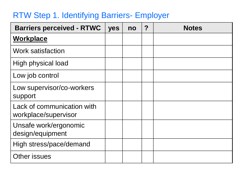#### RTW Step 1. Identifying Barriers- Employer

| <b>Barriers perceived - RTWC</b>                   | yes | no | $\boldsymbol{P}$ | <b>Notes</b> |
|----------------------------------------------------|-----|----|------------------|--------------|
| Workplace                                          |     |    |                  |              |
| <b>Work satisfaction</b>                           |     |    |                  |              |
| High physical load                                 |     |    |                  |              |
| Low job control                                    |     |    |                  |              |
| Low supervisor/co-workers<br>support               |     |    |                  |              |
| Lack of communication with<br>workplace/supervisor |     |    |                  |              |
| Unsafe work/ergonomic<br>design/equipment          |     |    |                  |              |
| High stress/pace/demand                            |     |    |                  |              |
| Other issues                                       |     |    |                  |              |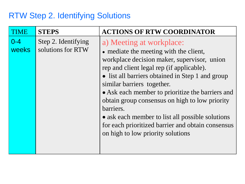### RTW Step 2. Identifying Solutions

| TIME                    | <b>STEPS</b>                             | <b>ACTIONS OF RTW COORDINATOR</b>                                                                                                                                                                                                                                                                                                                                                                                                                                                                                 |
|-------------------------|------------------------------------------|-------------------------------------------------------------------------------------------------------------------------------------------------------------------------------------------------------------------------------------------------------------------------------------------------------------------------------------------------------------------------------------------------------------------------------------------------------------------------------------------------------------------|
| $0 - 4$<br><b>weeks</b> | Step 2. Identifying<br>solutions for RTW | a) Meeting at workplace:<br>• mediate the meeting with the client,<br>workplace decision maker, supervisor, union<br>rep and client legal rep (if applicable).<br>• list all barriers obtained in Step 1 and group<br>similar barriers together.<br>• Ask each member to prioritize the barriers and<br>obtain group consensus on high to low priority<br>barriers.<br>• ask each member to list all possible solutions<br>for each prioritized barrier and obtain consensus<br>on high to low priority solutions |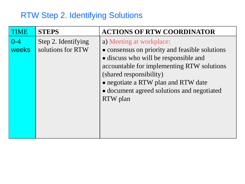### RTW Step 2. Identifying Solutions

| TIME             | <b>STEPS</b>                             | <b>ACTIONS OF RTW COORDINATOR</b>                                                                                                                                                                                                                                                             |
|------------------|------------------------------------------|-----------------------------------------------------------------------------------------------------------------------------------------------------------------------------------------------------------------------------------------------------------------------------------------------|
| $0 - 4$<br>weeks | Step 2. Identifying<br>solutions for RTW | a) Meeting at workplace:<br>• consensus on priority and feasible solutions<br>• discuss who will be responsible and<br>accountable for implementing RTW solutions<br>(shared responsibility)<br>• negotiate a RTW plan and RTW date<br>• document agreed solutions and negotiated<br>RTW plan |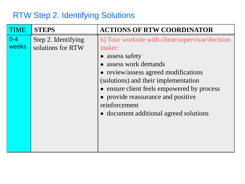#### RTW Step 2. Identifying Solutions

| TIME             | <b>STEPS</b>                             | <b>ACTIONS OF RTW COORDINATOR</b>                                                                                                                                                                                                                                                                                                   |
|------------------|------------------------------------------|-------------------------------------------------------------------------------------------------------------------------------------------------------------------------------------------------------------------------------------------------------------------------------------------------------------------------------------|
| $0 - 4$<br>weeks | Step 2. Identifying<br>solutions for RTW | b) Tour worksite with client/supervisor/decision<br>maker:<br>• assess safety<br>assess work demands<br>• review/assess agreed modifications<br>(solutions) and their implementation<br>• ensure client feels empowered by process<br>• provide reassurance and positive<br>reinforcement<br>• document additional agreed solutions |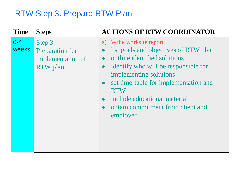### RTW Step 3. Prepare RTW Plan

| <b>Time</b>             | <b>Steps</b>                                                              | <b>ACTIONS OF RTW COORDINATOR</b>                                                                                                                                                                                                                                                                                           |
|-------------------------|---------------------------------------------------------------------------|-----------------------------------------------------------------------------------------------------------------------------------------------------------------------------------------------------------------------------------------------------------------------------------------------------------------------------|
| $0 - 4$<br><b>weeks</b> | Step 3.<br><b>Preparation for</b><br>implementation of<br><b>RTW</b> plan | Write worksite report<br>a)<br>list goals and objectives of RTW plan<br>outline identified solutions<br>identify who will be responsible for<br>$\bullet$<br>implementing solutions<br>set time-table for implementation and<br><b>RTW</b><br>include educational material<br>obtain commitment from client and<br>employer |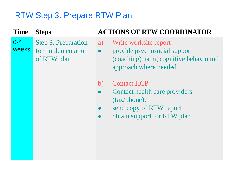#### RTW Step 3. Prepare RTW Plan

| <b>Time</b>             | <b>Steps</b>                                                    | <b>ACTIONS OF RTW COORDINATOR</b>                                                                                                           |
|-------------------------|-----------------------------------------------------------------|---------------------------------------------------------------------------------------------------------------------------------------------|
| $0 - 4$<br><b>weeks</b> | <b>Step 3. Preparation</b><br>for implementation<br>of RTW plan | Write worksite report<br>a)<br>provide psychosocial support<br>$\bullet$<br>(coaching) using cognitive behavioural<br>approach where needed |
|                         |                                                                 | <b>Contact HCP</b><br>b)<br>Contact health care providers<br>$(fax/phone)$ :<br>send copy of RTW report<br>obtain support for RTW plan      |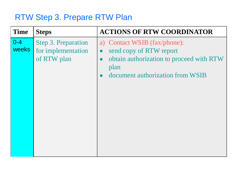#### RTW Step 3. Prepare RTW Plan

| <b>Time</b>             | <b>Steps</b>                                                    | <b>ACTIONS OF RTW COORDINATOR</b>                                                                                                                                                      |
|-------------------------|-----------------------------------------------------------------|----------------------------------------------------------------------------------------------------------------------------------------------------------------------------------------|
| $0 - 4$<br><b>weeks</b> | <b>Step 3. Preparation</b><br>for implementation<br>of RTW plan | a) Contact WSIB (fax/phone):<br>send copy of RTW report<br>$\bullet$<br>obtain authorization to proceed with RTW<br>$\bullet$<br>plan<br>document authorization from WSIB<br>$\bullet$ |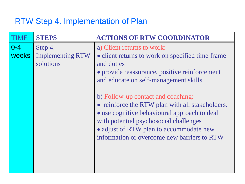### RTW Step 4. Implementation of Plan

| TIME                    | <b>STEPS</b>                                    | <b>ACTIONS OF RTW COORDINATOR</b>                                                                                                                                                                                                                                         |
|-------------------------|-------------------------------------------------|---------------------------------------------------------------------------------------------------------------------------------------------------------------------------------------------------------------------------------------------------------------------------|
| $0 - 4$<br><b>weeks</b> | Step 4.<br><b>Implementing RTW</b><br>solutions | a) Client returns to work:<br>• client returns to work on specified time frame<br>and duties<br>• provide reassurance, positive reinforcement<br>and educate on self-management skills                                                                                    |
|                         |                                                 | b) Follow-up contact and coaching:<br>• reinforce the RTW plan with all stakeholders.<br>• use cognitive behavioural approach to deal<br>with potential psychosocial challenges<br>• adjust of RTW plan to accommodate new<br>information or overcome new barriers to RTW |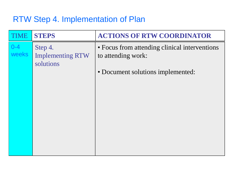#### RTW Step 4. Implementation of Plan

| TIME             | <b>STEPS</b>                                    | <b>ACTIONS OF RTW COORDINATOR</b>                                   |
|------------------|-------------------------------------------------|---------------------------------------------------------------------|
| $0 - 4$<br>weeks | Step 4.<br><b>Implementing RTW</b><br>solutions | • Focus from attending clinical interventions<br>to attending work: |
|                  |                                                 | • Document solutions implemented:                                   |
|                  |                                                 |                                                                     |
|                  |                                                 |                                                                     |
|                  |                                                 |                                                                     |
|                  |                                                 |                                                                     |
|                  |                                                 |                                                                     |
|                  |                                                 |                                                                     |
|                  |                                                 |                                                                     |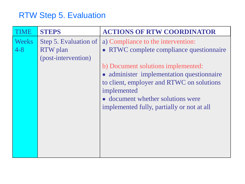### RTW Step 5. Evaluation

| <b>IME</b>              | <b>STEPS</b>                                                    | <b>ACTIONS OF RTW COORDINATOR</b>                                                                                                                                                                                                                                                                                |
|-------------------------|-----------------------------------------------------------------|------------------------------------------------------------------------------------------------------------------------------------------------------------------------------------------------------------------------------------------------------------------------------------------------------------------|
| <b>Weeks</b><br>$4 - 8$ | Step 5. Evaluation of<br><b>RTW</b> plan<br>(post-intervention) | a) Compliance to the intervention:<br>• RTWC complete compliance questionnaire<br>b) Document solutions implemented:<br>• administer implementation questionnaire<br>to client, employer and RTWC on solutions<br>implemented<br>• document whether solutions were<br>implemented fully, partially or not at all |
|                         |                                                                 |                                                                                                                                                                                                                                                                                                                  |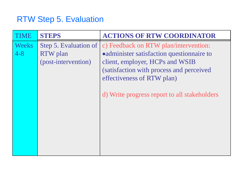### RTW Step 5. Evaluation

|              | <b>STEPS</b>          | <b>ACTIONS OF RTW COORDINATOR</b>            |
|--------------|-----------------------|----------------------------------------------|
| <b>Weeks</b> | Step 5. Evaluation of | c) Feedback on RTW plan/intervention:        |
| $4 - 8$      | <b>RTW</b> plan       | • administer satisfaction questionnaire to   |
|              | (post-intervention)   | client, employer, HCPs and WSIB              |
|              |                       | (satisfaction with process and perceived     |
|              |                       | effectiveness of RTW plan)                   |
|              |                       |                                              |
|              |                       | d) Write progress report to all stakeholders |
|              |                       |                                              |
|              |                       |                                              |
|              |                       |                                              |
|              |                       |                                              |
|              |                       |                                              |
|              |                       |                                              |
|              |                       |                                              |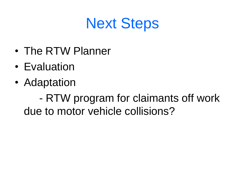## Next Steps

- The RTW Planner
- Evaluation
- Adaptation

- RTW program for claimants off work due to motor vehicle collisions?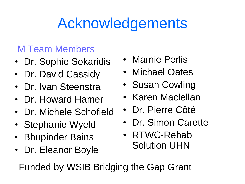## Acknowledgements

### IM Team Members

- Dr. Sophie Sokaridis
- Dr. David Cassidy
- Dr. Ivan Steenstra
- Dr. Howard Hamer
- Dr. Michele Schofield
- Stephanie Wyeld
- Bhupinder Bains
- Dr. Eleanor Boyle
- Marnie Perlis
- Michael Oates
- Susan Cowling
- Karen Maclellan
- Dr. Pierre Côté
- Dr. Simon Carette
- RTWC-Rehab Solution UHN

Funded by WSIB Bridging the Gap Grant